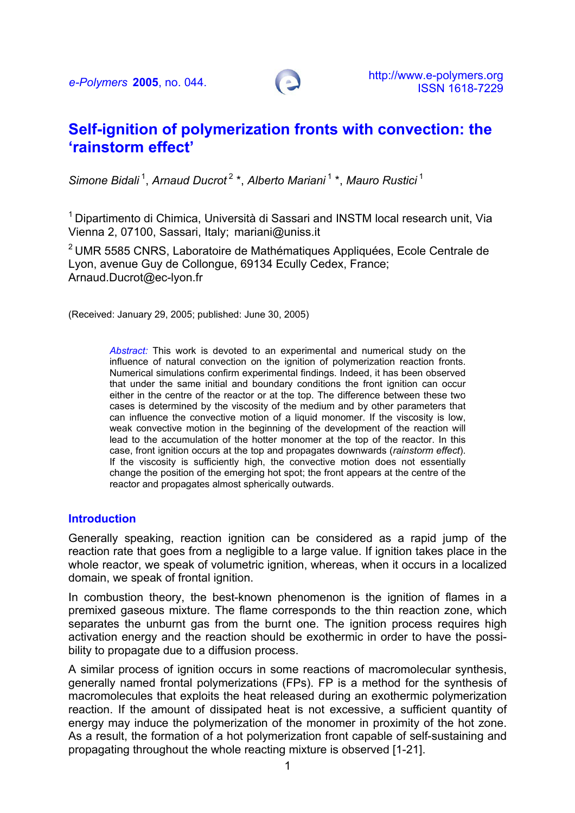

# **Self-ignition of polymerization fronts with convection: the 'rainstorm effect'**

*Simone Bidali* 1, *Arnaud Ducrot* 2 \*, *Alberto Mariani* 1 \*, *Mauro Rustici* 1

 $1$  Dipartimento di Chimica. Università di Sassari and INSTM local research unit. Via Vienna 2, 07100, Sassari, Italy; mariani@uniss.it

2 UMR 5585 CNRS, Laboratoire de Mathématiques Appliquées, Ecole Centrale de Lyon, avenue Guy de Collongue, 69134 Ecully Cedex, France; Arnaud.Ducrot@ec-lyon.fr

(Received: January 29, 2005; published: June 30, 2005)

*Abstract:* This work is devoted to an experimental and numerical study on the influence of natural convection on the ignition of polymerization reaction fronts. Numerical simulations confirm experimental findings. Indeed, it has been observed that under the same initial and boundary conditions the front ignition can occur either in the centre of the reactor or at the top. The difference between these two cases is determined by the viscosity of the medium and by other parameters that can influence the convective motion of a liquid monomer. If the viscosity is low, weak convective motion in the beginning of the development of the reaction will lead to the accumulation of the hotter monomer at the top of the reactor. In this case, front ignition occurs at the top and propagates downwards (*rainstorm effect*). If the viscosity is sufficiently high, the convective motion does not essentially change the position of the emerging hot spot; the front appears at the centre of the reactor and propagates almost spherically outwards.

#### **Introduction**

Generally speaking, reaction ignition can be considered as a rapid jump of the reaction rate that goes from a negligible to a large value. If ignition takes place in the whole reactor, we speak of volumetric ignition, whereas, when it occurs in a localized domain, we speak of frontal ignition.

In combustion theory, the best-known phenomenon is the ignition of flames in a premixed gaseous mixture. The flame corresponds to the thin reaction zone, which separates the unburnt gas from the burnt one. The ignition process requires high activation energy and the reaction should be exothermic in order to have the possibility to propagate due to a diffusion process.

A similar process of ignition occurs in some reactions of macromolecular synthesis, generally named frontal polymerizations (FPs). FP is a method for the synthesis of macromolecules that exploits the heat released during an exothermic polymerization reaction. If the amount of dissipated heat is not excessive, a sufficient quantity of energy may induce the polymerization of the monomer in proximity of the hot zone. As a result, the formation of a hot polymerization front capable of self-sustaining and propagating throughout the whole reacting mixture is observed [1-21].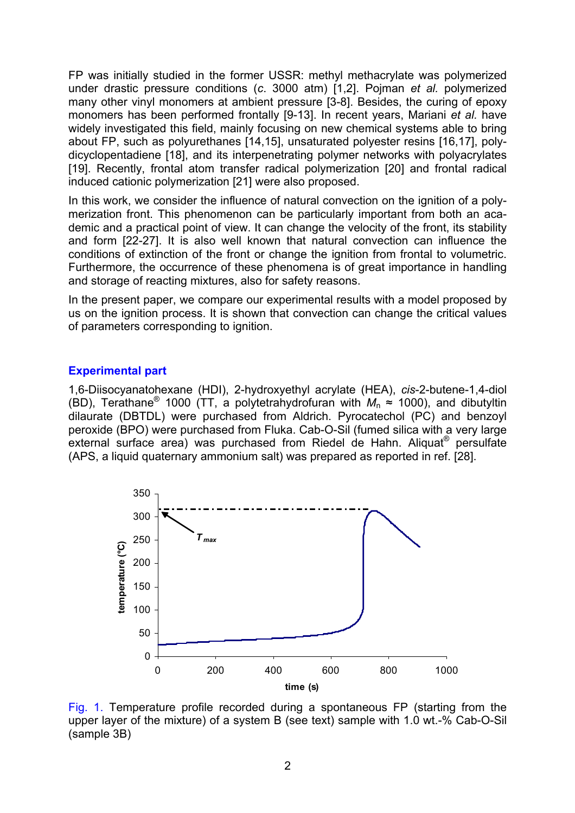FP was initially studied in the former USSR: methyl methacrylate was polymerized under drastic pressure conditions (*c*. 3000 atm) [1,2]. Pojman *et al.* polymerized many other vinyl monomers at ambient pressure [3-8]. Besides, the curing of epoxy monomers has been performed frontally [9-13]. In recent years, Mariani *et al.* have widely investigated this field, mainly focusing on new chemical systems able to bring about FP, such as polyurethanes [14,15], unsaturated polyester resins [16,17], polydicyclopentadiene [18], and its interpenetrating polymer networks with polyacrylates [19]. Recently, frontal atom transfer radical polymerization [20] and frontal radical induced cationic polymerization [21] were also proposed.

In this work, we consider the influence of natural convection on the ignition of a polymerization front. This phenomenon can be particularly important from both an academic and a practical point of view. It can change the velocity of the front, its stability and form [22-27]. It is also well known that natural convection can influence the conditions of extinction of the front or change the ignition from frontal to volumetric. Furthermore, the occurrence of these phenomena is of great importance in handling and storage of reacting mixtures, also for safety reasons.

In the present paper, we compare our experimental results with a model proposed by us on the ignition process. It is shown that convection can change the critical values of parameters corresponding to ignition.

## **Experimental part**

1,6-Diisocyanatohexane (HDI), 2-hydroxyethyl acrylate (HEA), *cis*-2-butene-1,4-diol (BD), Terathane<sup>®</sup> 1000 (TT, a polytetrahydrofuran with  $M_n \approx 1000$ ), and dibutyltin dilaurate (DBTDL) were purchased from Aldrich. Pyrocatechol (PC) and benzoyl peroxide (BPO) were purchased from Fluka. Cab-O-Sil (fumed silica with a very large external surface area) was purchased from Riedel de Hahn. Aliquat® persulfate (APS, a liquid quaternary ammonium salt) was prepared as reported in ref. [28].



Fig. 1. Temperature profile recorded during a spontaneous FP (starting from the upper layer of the mixture) of a system B (see text) sample with 1.0 wt.-% Cab-O-Sil (sample 3B)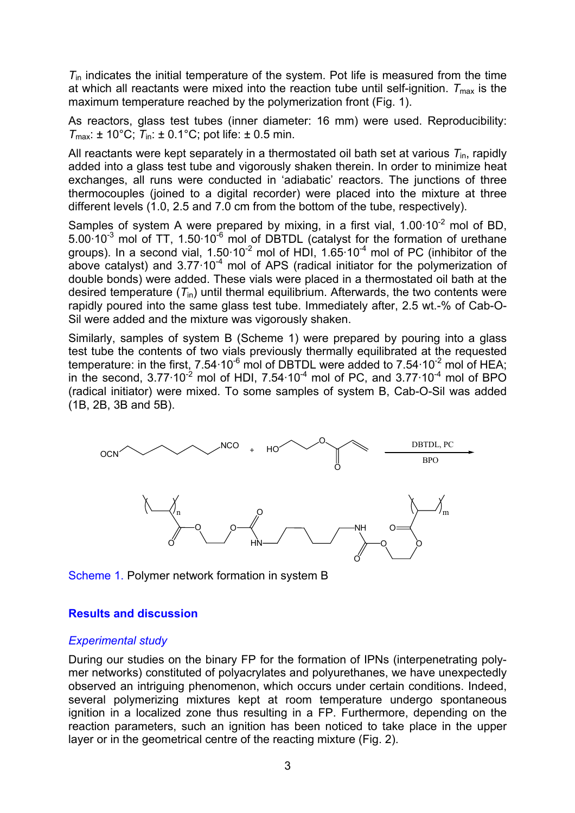*T*in indicates the initial temperature of the system. Pot life is measured from the time at which all reactants were mixed into the reaction tube until self-ignition.  $T_{\text{max}}$  is the maximum temperature reached by the polymerization front (Fig. 1).

As reactors, glass test tubes (inner diameter: 16 mm) were used. Reproducibility:  $T_{\text{max}}$ : ± 10°C;  $T_{\text{in}}$ : ± 0.1°C; pot life: ± 0.5 min.

All reactants were kept separately in a thermostated oil bath set at various  $T_{\text{in}}$ , rapidly added into a glass test tube and vigorously shaken therein. In order to minimize heat exchanges, all runs were conducted in 'adiabatic' reactors. The junctions of three thermocouples (joined to a digital recorder) were placed into the mixture at three different levels (1.0, 2.5 and 7.0 cm from the bottom of the tube, respectively).

Samples of system A were prepared by mixing, in a first vial,  $1.00 \cdot 10^{-2}$  mol of BD. 5.00·10-3 mol of TT, 1.50·10-6 mol of DBTDL (catalyst for the formation of urethane groups). In a second vial,  $1.50 \cdot 10^{-2}$  mol of HDI,  $1.65 \cdot 10^{-4}$  mol of PC (inhibitor of the above catalyst) and  $3.77 \cdot 10^{-4}$  mol of APS (radical initiator for the polymerization of double bonds) were added. These vials were placed in a thermostated oil bath at the desired temperature (*T*in) until thermal equilibrium. Afterwards, the two contents were rapidly poured into the same glass test tube. Immediately after, 2.5 wt.-% of Cab-O-Sil were added and the mixture was vigorously shaken.

Similarly, samples of system B (Scheme 1) were prepared by pouring into a glass test tube the contents of two vials previously thermally equilibrated at the requested temperature: in the first,  $7.54 \cdot 10^{-6}$  mol of DBTDL were added to  $7.54 \cdot 10^{-2}$  mol of HEA; in the second,  $3.77 \cdot 10^{-2}$  mol of HDI,  $7.54 \cdot 10^{-4}$  mol of PC, and  $3.77 \cdot 10^{-4}$  mol of BPO (radical initiator) were mixed. To some samples of system B, Cab-O-Sil was added (1B, 2B, 3B and 5B).



Scheme 1. Polymer network formation in system B

## **Results and discussion**

## *Experimental study*

During our studies on the binary FP for the formation of IPNs (interpenetrating polymer networks) constituted of polyacrylates and polyurethanes, we have unexpectedly observed an intriguing phenomenon, which occurs under certain conditions. Indeed, several polymerizing mixtures kept at room temperature undergo spontaneous ignition in a localized zone thus resulting in a FP. Furthermore, depending on the reaction parameters, such an ignition has been noticed to take place in the upper layer or in the geometrical centre of the reacting mixture (Fig. 2).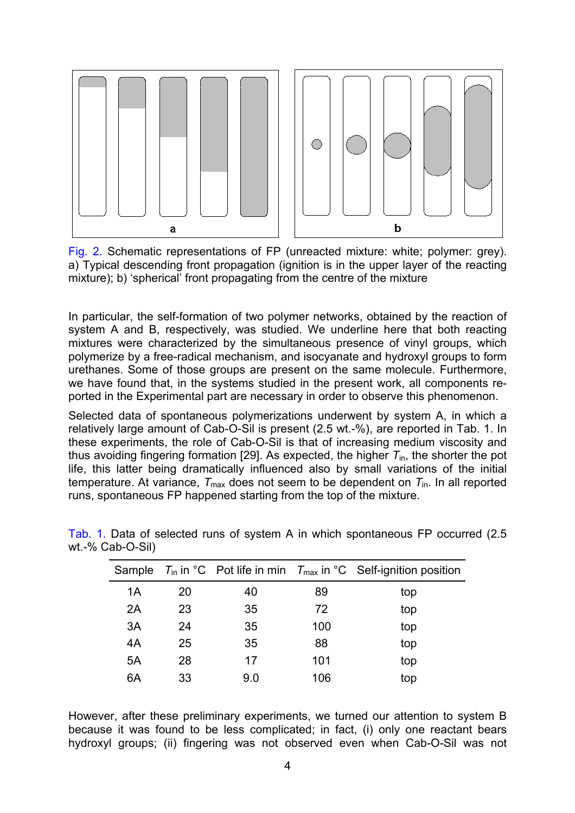

Fig. 2. Schematic representations of FP (unreacted mixture: white; polymer: grey). a) Typical descending front propagation (ignition is in the upper layer of the reacting mixture); b) 'spherical' front propagating from the centre of the mixture

In particular, the self-formation of two polymer networks, obtained by the reaction of system A and B, respectively, was studied. We underline here that both reacting mixtures were characterized by the simultaneous presence of vinyl groups, which polymerize by a free-radical mechanism, and isocyanate and hydroxyl groups to form urethanes. Some of those groups are present on the same molecule. Furthermore, we have found that, in the systems studied in the present work, all components reported in the Experimental part are necessary in order to observe this phenomenon.

Selected data of spontaneous polymerizations underwent by system A, in which a relatively large amount of Cab-O-Sil is present (2.5 wt.-%), are reported in Tab. 1. In these experiments, the role of Cab-O-Sil is that of increasing medium viscosity and thus avoiding fingering formation [29]. As expected, the higher  $T_{\text{in}}$ , the shorter the pot life, this latter being dramatically influenced also by small variations of the initial temperature. At variance,  $T_{\text{max}}$  does not seem to be dependent on  $T_{\text{in}}$ . In all reported runs, spontaneous FP happened starting from the top of the mixture.

|    |    |     |     | Sample $T_{\text{in}}$ in °C Pot life in min $T_{\text{max}}$ in °C Self-ignition position |
|----|----|-----|-----|--------------------------------------------------------------------------------------------|
| 1Α | 20 | 40  | 89  | top                                                                                        |
| 2A | 23 | 35  | 72  | top                                                                                        |
| 3A | 24 | 35  | 100 | top                                                                                        |
| 4A | 25 | 35  | 88  | top                                                                                        |
| 5A | 28 | 17  | 101 | top                                                                                        |
| 6A | 33 | 9.0 | 106 | top                                                                                        |

Tab. 1. Data of selected runs of system A in which spontaneous FP occurred (2.5 wt.-% Cab-O-Sil)

However, after these preliminary experiments, we turned our attention to system B because it was found to be less complicated; in fact, (i) only one reactant bears hydroxyl groups; (ii) fingering was not observed even when Cab-O-Sil was not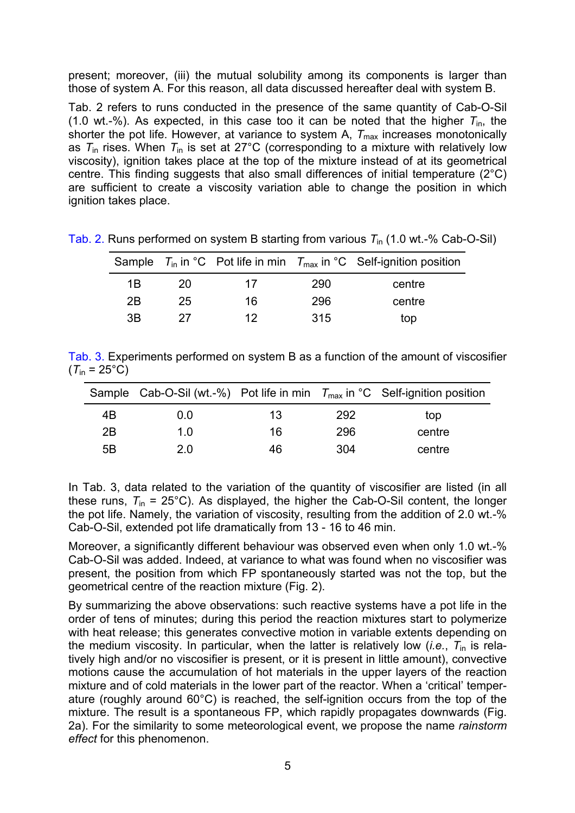present; moreover, (iii) the mutual solubility among its components is larger than those of system A. For this reason, all data discussed hereafter deal with system B.

Tab. 2 refers to runs conducted in the presence of the same quantity of Cab-O-Sil (1.0 wt.-%). As expected, in this case too it can be noted that the higher  $T_{\text{in}}$ , the shorter the pot life. However, at variance to system A,  $T_{\text{max}}$  increases monotonically as  $T_{\text{in}}$  rises. When  $T_{\text{in}}$  is set at 27°C (corresponding to a mixture with relatively low viscosity), ignition takes place at the top of the mixture instead of at its geometrical centre. This finding suggests that also small differences of initial temperature (2°C) are sufficient to create a viscosity variation able to change the position in which ignition takes place.

|    |    |    |     | Sample $T_{\text{in}}$ in °C Pot life in min $T_{\text{max}}$ in °C Self-ignition position |
|----|----|----|-----|--------------------------------------------------------------------------------------------|
| 1B | 20 | 17 | 290 | centre                                                                                     |
| 2B | 25 | 16 | 296 | centre                                                                                     |
| 3B | 27 | 12 | 315 | top                                                                                        |

Tab. 2. Runs performed on system B starting from various *T*in (1.0 wt.-% Cab-O-Sil)

Tab. 3. Experiments performed on system B as a function of the amount of viscosifier  $(T_{in} = 25^{\circ}C)$ 

|    |     |    |     | Sample Cab-O-Sil (wt.-%) Pot life in min $T_{\text{max}}$ in °C Self-ignition position |
|----|-----|----|-----|----------------------------------------------------------------------------------------|
| 4B | 0.0 | 13 | 292 | top                                                                                    |
| 2B | 1 በ | 16 | 296 | centre                                                                                 |
| 5B | 20  | 46 | 304 | centre                                                                                 |

In Tab. 3, data related to the variation of the quantity of viscosifier are listed (in all these runs,  $T_{in}$  = 25°C). As displayed, the higher the Cab-O-Sil content, the longer the pot life. Namely, the variation of viscosity, resulting from the addition of 2.0 wt.-% Cab-O-Sil, extended pot life dramatically from 13 - 16 to 46 min.

Moreover, a significantly different behaviour was observed even when only 1.0 wt.-% Cab-O-Sil was added. Indeed, at variance to what was found when no viscosifier was present, the position from which FP spontaneously started was not the top, but the geometrical centre of the reaction mixture (Fig. 2).

By summarizing the above observations: such reactive systems have a pot life in the order of tens of minutes; during this period the reaction mixtures start to polymerize with heat release; this generates convective motion in variable extents depending on the medium viscosity. In particular, when the latter is relatively low (*i.e.*, *T*in is relatively high and/or no viscosifier is present, or it is present in little amount), convective motions cause the accumulation of hot materials in the upper layers of the reaction mixture and of cold materials in the lower part of the reactor. When a 'critical' temperature (roughly around 60°C) is reached, the self-ignition occurs from the top of the mixture. The result is a spontaneous FP, which rapidly propagates downwards (Fig. 2a). For the similarity to some meteorological event, we propose the name *rainstorm effect* for this phenomenon.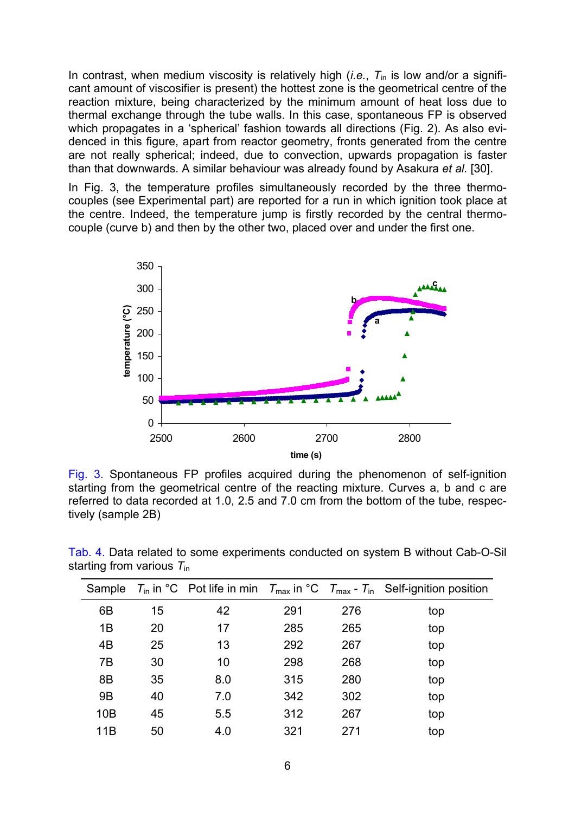In contrast, when medium viscosity is relatively high (*i.e.*,  $T_{\text{in}}$  is low and/or a significant amount of viscosifier is present) the hottest zone is the geometrical centre of the reaction mixture, being characterized by the minimum amount of heat loss due to thermal exchange through the tube walls. In this case, spontaneous FP is observed which propagates in a 'spherical' fashion towards all directions (Fig. 2). As also evidenced in this figure, apart from reactor geometry, fronts generated from the centre are not really spherical; indeed, due to convection, upwards propagation is faster than that downwards. A similar behaviour was already found by Asakura *et al.* [30].

In Fig. 3, the temperature profiles simultaneously recorded by the three thermocouples (see Experimental part) are reported for a run in which ignition took place at the centre. Indeed, the temperature jump is firstly recorded by the central thermocouple (curve b) and then by the other two, placed over and under the first one.



Fig. 3. Spontaneous FP profiles acquired during the phenomenon of self-ignition starting from the geometrical centre of the reacting mixture. Curves a, b and c are referred to data recorded at 1.0, 2.5 and 7.0 cm from the bottom of the tube, respectively (sample 2B)

| Sample         |    |     |     |     | $T_{\text{in}}$ in °C Pot life in min $T_{\text{max}}$ in °C $T_{\text{max}}$ - $T_{\text{in}}$ Self-ignition position |
|----------------|----|-----|-----|-----|------------------------------------------------------------------------------------------------------------------------|
| 6B             | 15 | 42  | 291 | 276 | top                                                                                                                    |
| 1B             | 20 | 17  | 285 | 265 | top                                                                                                                    |
| 4B             | 25 | 13  | 292 | 267 | top                                                                                                                    |
| 7B             | 30 | 10  | 298 | 268 | top                                                                                                                    |
| 8B             | 35 | 8.0 | 315 | 280 | top                                                                                                                    |
| 9 <sub>B</sub> | 40 | 7.0 | 342 | 302 | top                                                                                                                    |
| 10B            | 45 | 5.5 | 312 | 267 | top                                                                                                                    |
| 11B            | 50 | 4.0 | 321 | 271 | top                                                                                                                    |

Tab. 4. Data related to some experiments conducted on system B without Cab-O-Sil starting from various *T*in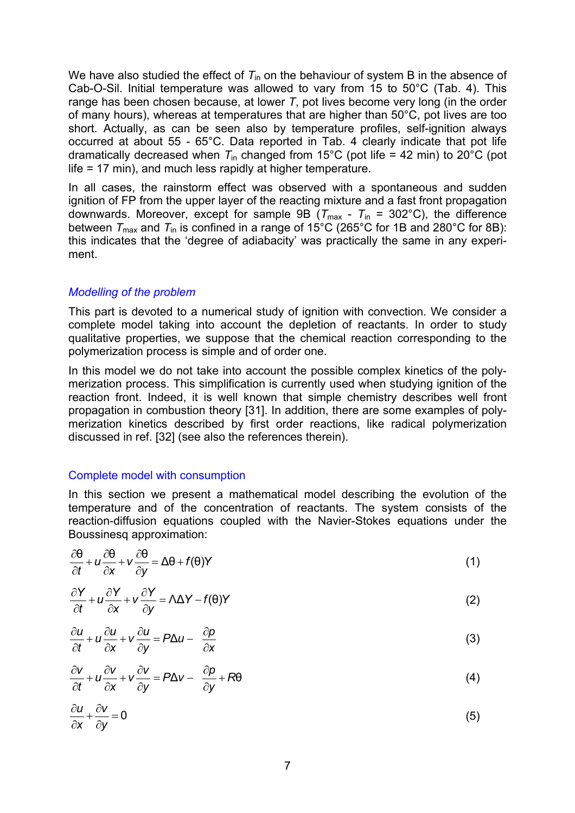We have also studied the effect of  $T_{in}$  on the behaviour of system B in the absence of Cab-O-Sil. Initial temperature was allowed to vary from 15 to 50°C (Tab. 4). This range has been chosen because, at lower *T*, pot lives become very long (in the order of many hours), whereas at temperatures that are higher than 50°C, pot lives are too short. Actually, as can be seen also by temperature profiles, self-ignition always occurred at about 55 - 65°C. Data reported in Tab. 4 clearly indicate that pot life dramatically decreased when  $T_{in}$  changed from 15<sup>o</sup>C (pot life = 42 min) to 20<sup>o</sup>C (pot life = 17 min), and much less rapidly at higher temperature.

In all cases, the rainstorm effect was observed with a spontaneous and sudden ignition of FP from the upper layer of the reacting mixture and a fast front propagation downwards. Moreover, except for sample 9B ( $T_{\text{max}}$  -  $T_{\text{in}}$  = 302°C), the difference between  $T_{\text{max}}$  and  $T_{\text{in}}$  is confined in a range of 15°C (265°C for 1B and 280°C for 8B): this indicates that the 'degree of adiabacity' was practically the same in any experiment.

#### *Modelling of the problem*

This part is devoted to a numerical study of ignition with convection. We consider a complete model taking into account the depletion of reactants. In order to study qualitative properties, we suppose that the chemical reaction corresponding to the polymerization process is simple and of order one.

In this model we do not take into account the possible complex kinetics of the polymerization process. This simplification is currently used when studying ignition of the reaction front. Indeed, it is well known that simple chemistry describes well front propagation in combustion theory [31]. In addition, there are some examples of polymerization kinetics described by first order reactions, like radical polymerization discussed in ref. [32] (see also the references therein).

## Complete model with consumption

In this section we present a mathematical model describing the evolution of the temperature and of the concentration of reactants. The system consists of the reaction-diffusion equations coupled with the Navier-Stokes equations under the Boussinesq approximation:

$$
\frac{\partial \theta}{\partial t} + u \frac{\partial \theta}{\partial x} + v \frac{\partial \theta}{\partial y} = \Delta \theta + f(\theta)Y
$$
\n(1)

$$
\frac{\partial Y}{\partial t} + u \frac{\partial Y}{\partial x} + v \frac{\partial Y}{\partial y} = \Lambda \Delta Y - f(\theta)Y
$$
 (2)

$$
\frac{\partial u}{\partial t} + u \frac{\partial u}{\partial x} + v \frac{\partial u}{\partial y} = P \Delta u - \frac{\partial p}{\partial x}
$$
 (3)

$$
\frac{\partial V}{\partial t} + u \frac{\partial V}{\partial x} + v \frac{\partial V}{\partial y} = P \Delta V - \frac{\partial p}{\partial y} + R \theta \tag{4}
$$

$$
\frac{\partial u}{\partial x} + \frac{\partial v}{\partial y} = 0 \tag{5}
$$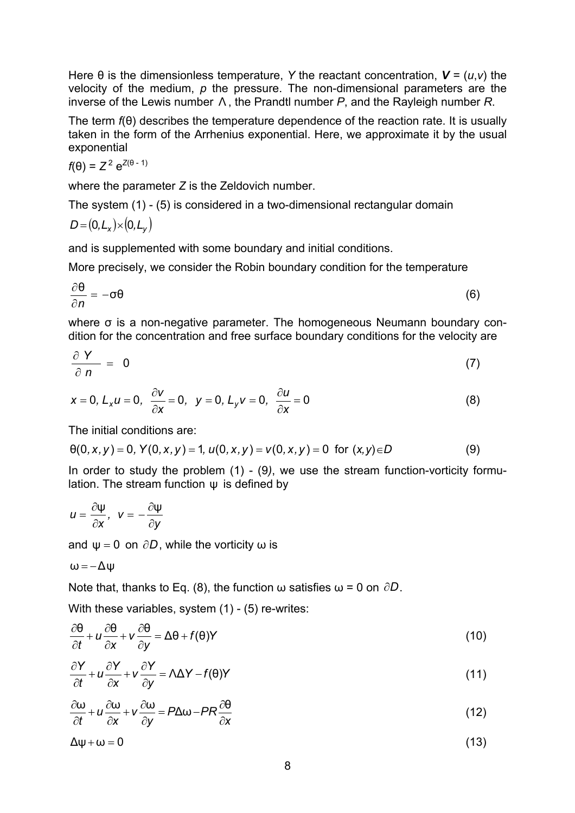Here  $\theta$  is the dimensionless temperature, *Y* the reactant concentration,  $V = (u, v)$  the velocity of the medium, *p* the pressure. The non-dimensional parameters are the inverse of the Lewis number Λ , the Prandtl number *P*, and the Rayleigh number *R*.

The term *f*(θ) describes the temperature dependence of the reaction rate. It is usually taken in the form of the Arrhenius exponential. Here, we approximate it by the usual exponential

$$
f(\theta) = Z^2 e^{Z(\theta - 1)}
$$

where the parameter *Z* is the Zeldovich number.

The system (1) - (5) is considered in a two-dimensional rectangular domain  $\int_0^1 (0 + \lambda) \, dx \leq \lambda$ 

$$
D = (0, L_x) \times (0, L_y)
$$

and is supplemented with some boundary and initial conditions.

More precisely, we consider the Robin boundary condition for the temperature

$$
\frac{\partial \theta}{\partial n} = -\sigma \theta \tag{6}
$$

where σ is a non-negative parameter. The homogeneous Neumann boundary condition for the concentration and free surface boundary conditions for the velocity are

$$
\frac{\partial Y}{\partial n} = 0 \tag{7}
$$

$$
x = 0, L_x u = 0, \quad \frac{\partial V}{\partial x} = 0, \quad y = 0, L_y v = 0, \quad \frac{\partial u}{\partial x} = 0
$$
 (8)

The initial conditions are:

$$
\theta(0,x,y) = 0, Y(0,x,y) = 1, u(0,x,y) = v(0,x,y) = 0 \text{ for } (x,y) \in D
$$
 (9)

In order to study the problem (1) - (9*)*, we use the stream function-vorticity formulation. The stream function ψ is defined by

$$
u=\frac{\partial \psi}{\partial x},\;\;v=-\frac{\partial \psi}{\partial y}
$$

and  $\psi = 0$  on  $\partial D$ , while the vorticity  $\omega$  is

$$
\omega\,{=}\,{-}\Delta\psi
$$

Note that, thanks to Eq. (8), the function  $\omega$  satisfies  $\omega$  = 0 on  $\partial D$ .

With these variables, system (1) - (5) re-writes:

$$
\frac{\partial \theta}{\partial t} + u \frac{\partial \theta}{\partial x} + v \frac{\partial \theta}{\partial y} = \Delta \theta + f(\theta)Y
$$
\n(10)

$$
\frac{\partial Y}{\partial t} + u \frac{\partial Y}{\partial x} + v \frac{\partial Y}{\partial y} = \Lambda \Delta Y - f(\theta)Y
$$
\n(11)

$$
\frac{\partial \omega}{\partial t} + u \frac{\partial \omega}{\partial x} + v \frac{\partial \omega}{\partial y} = P \Delta \omega - PR \frac{\partial \theta}{\partial x}
$$
(12)

 $\Delta \psi + \omega = 0$  (13)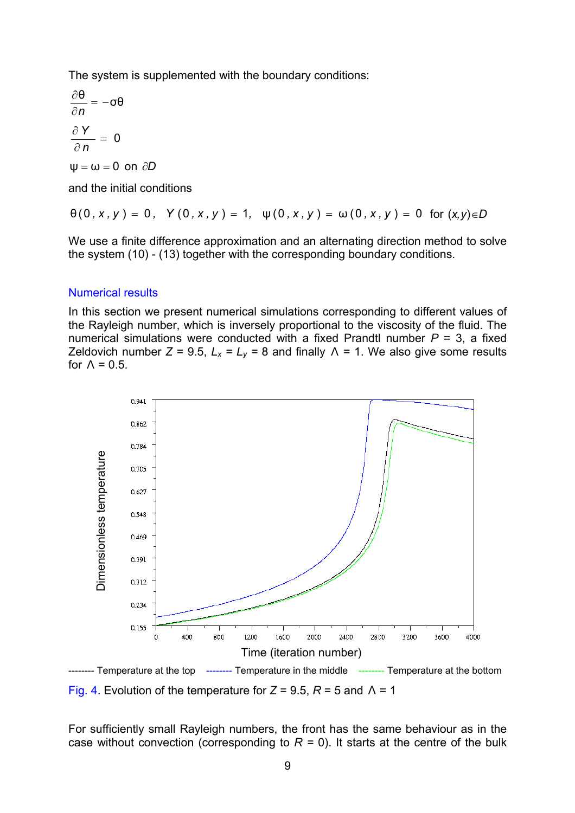The system is supplemented with the boundary conditions:

$$
\frac{\partial \theta}{\partial n} = -\sigma \theta
$$

$$
\frac{\partial Y}{\partial n} = 0
$$

$$
\psi = \omega = 0 \text{ on } \partial D
$$

and the initial conditions

$$
\theta(0, x, y) = 0, \quad Y(0, x, y) = 1, \quad \psi(0, x, y) = \omega(0, x, y) = 0 \quad \text{for } (x, y) \in D
$$

We use a finite difference approximation and an alternating direction method to solve the system (10) - (13) together with the corresponding boundary conditions.

#### Numerical results

In this section we present numerical simulations corresponding to different values of the Rayleigh number, which is inversely proportional to the viscosity of the fluid. The numerical simulations were conducted with a fixed Prandtl number  $P = 3$ , a fixed Zeldovich number  $Z = 9.5$ ,  $L_x = L_y = 8$  and finally  $\Lambda = 1$ . We also give some results for  $\Lambda = 0.5$ .



Fig. 4. Evolution of the temperature for  $Z = 9.5$ ,  $R = 5$  and  $\Lambda = 1$ 

For sufficiently small Rayleigh numbers, the front has the same behaviour as in the case without convection (corresponding to  $R = 0$ ). It starts at the centre of the bulk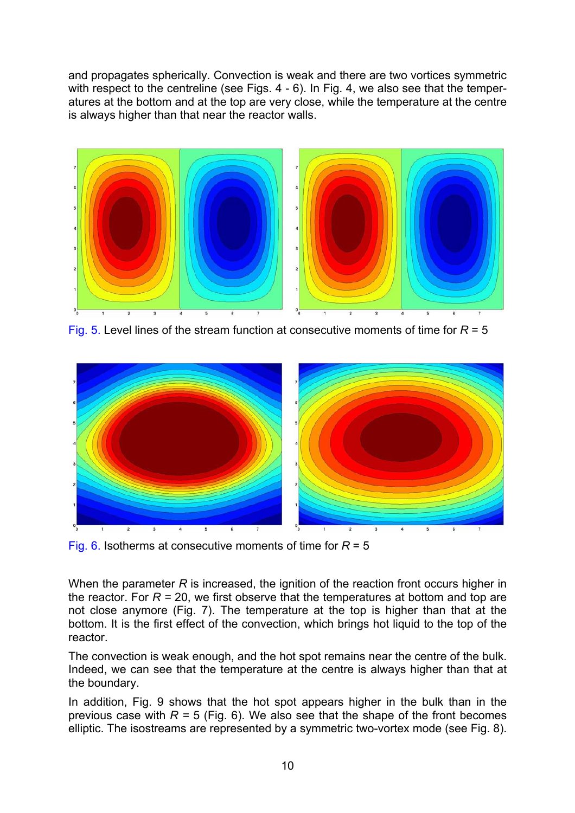and propagates spherically. Convection is weak and there are two vortices symmetric with respect to the centreline (see Figs. 4 - 6). In Fig. 4, we also see that the temperatures at the bottom and at the top are very close, while the temperature at the centre is always higher than that near the reactor walls.



Fig. 5. Level lines of the stream function at consecutive moments of time for *R* = 5



Fig. 6. Isotherms at consecutive moments of time for *R* = 5

When the parameter *R* is increased, the ignition of the reaction front occurs higher in the reactor. For  $R = 20$ , we first observe that the temperatures at bottom and top are not close anymore (Fig. 7). The temperature at the top is higher than that at the bottom. It is the first effect of the convection, which brings hot liquid to the top of the reactor.

The convection is weak enough, and the hot spot remains near the centre of the bulk. Indeed, we can see that the temperature at the centre is always higher than that at the boundary.

In addition, Fig. 9 shows that the hot spot appears higher in the bulk than in the previous case with  $R = 5$  (Fig. 6). We also see that the shape of the front becomes elliptic. The isostreams are represented by a symmetric two-vortex mode (see Fig. 8).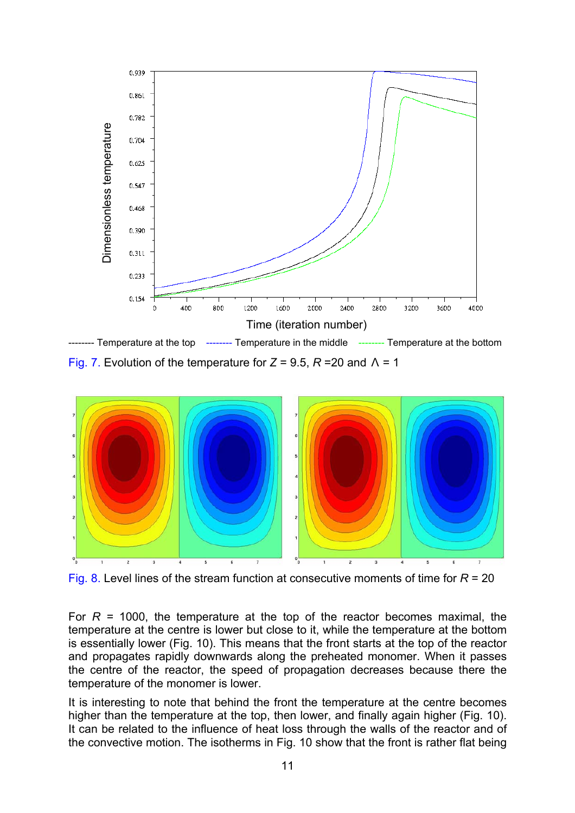

Fig. 7. Evolution of the temperature for *Z* = 9.5, *R* =20 and Λ = 1



Fig. 8. Level lines of the stream function at consecutive moments of time for *R* = 20

For *R =* 1000, the temperature at the top of the reactor becomes maximal, the temperature at the centre is lower but close to it, while the temperature at the bottom is essentially lower (Fig. 10). This means that the front starts at the top of the reactor and propagates rapidly downwards along the preheated monomer. When it passes the centre of the reactor, the speed of propagation decreases because there the temperature of the monomer is lower.

It is interesting to note that behind the front the temperature at the centre becomes higher than the temperature at the top, then lower, and finally again higher (Fig. 10). It can be related to the influence of heat loss through the walls of the reactor and of the convective motion. The isotherms in Fig. 10 show that the front is rather flat being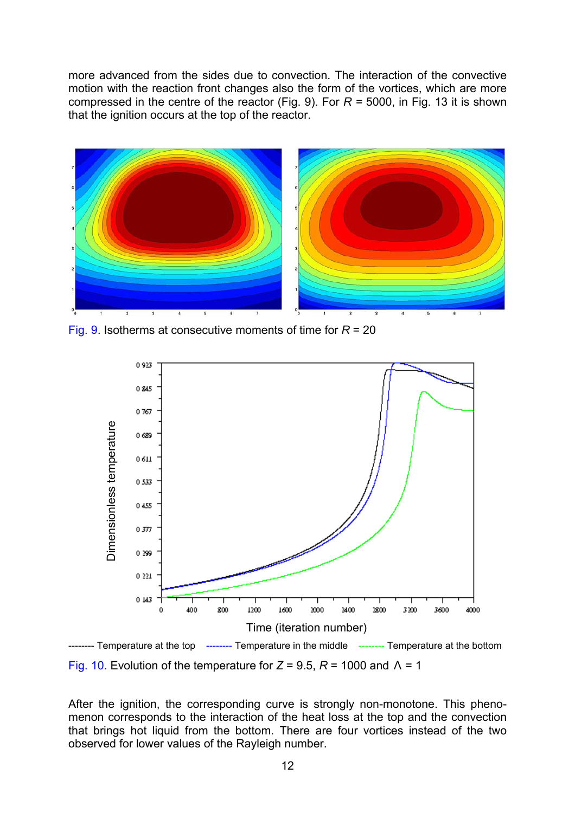more advanced from the sides due to convection. The interaction of the convective motion with the reaction front changes also the form of the vortices, which are more compressed in the centre of the reactor (Fig. 9). For *R =* 5000, in Fig. 13 it is shown that the ignition occurs at the top of the reactor.



Fig. 9. Isotherms at consecutive moments of time for *R* = 20

![](_page_11_Figure_3.jpeg)

Fig. 10. Evolution of the temperature for *Z* = 9.5, *R* = 1000 and Λ = 1

After the ignition, the corresponding curve is strongly non-monotone. This phenomenon corresponds to the interaction of the heat loss at the top and the convection that brings hot liquid from the bottom. There are four vortices instead of the two observed for lower values of the Rayleigh number.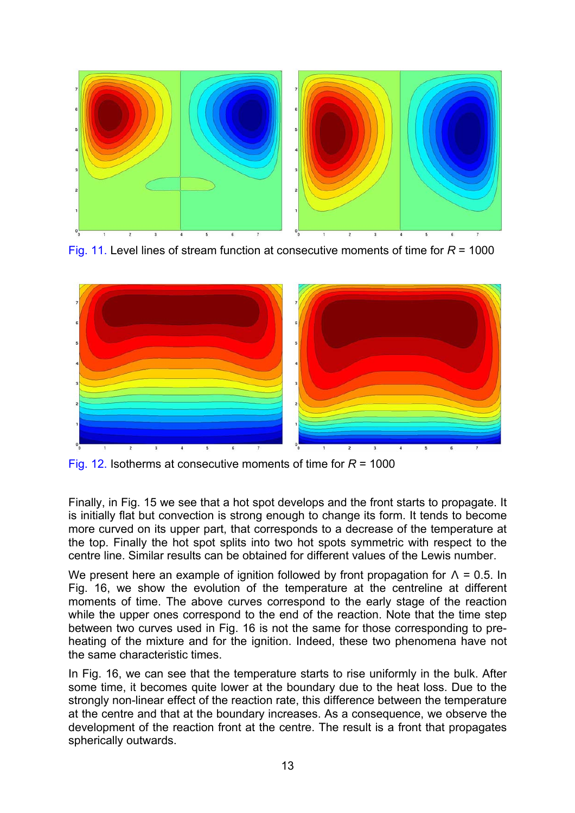![](_page_12_Figure_0.jpeg)

Fig. 11. Level lines of stream function at consecutive moments of time for *R* = 1000

![](_page_12_Figure_2.jpeg)

Fig. 12. Isotherms at consecutive moments of time for *R* = 1000

Finally, in Fig. 15 we see that a hot spot develops and the front starts to propagate. It is initially flat but convection is strong enough to change its form. It tends to become more curved on its upper part, that corresponds to a decrease of the temperature at the top. Finally the hot spot splits into two hot spots symmetric with respect to the centre line. Similar results can be obtained for different values of the Lewis number.

We present here an example of ignition followed by front propagation for  $\Lambda$  = 0.5. In Fig. 16, we show the evolution of the temperature at the centreline at different moments of time. The above curves correspond to the early stage of the reaction while the upper ones correspond to the end of the reaction. Note that the time step between two curves used in Fig. 16 is not the same for those corresponding to preheating of the mixture and for the ignition. Indeed, these two phenomena have not the same characteristic times.

In Fig. 16, we can see that the temperature starts to rise uniformly in the bulk. After some time, it becomes quite lower at the boundary due to the heat loss. Due to the strongly non-linear effect of the reaction rate, this difference between the temperature at the centre and that at the boundary increases. As a consequence, we observe the development of the reaction front at the centre. The result is a front that propagates spherically outwards.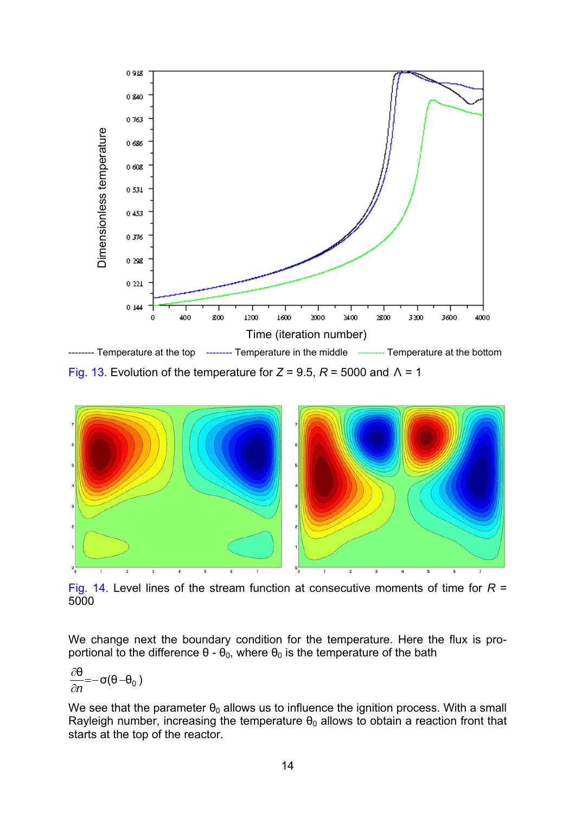![](_page_13_Figure_0.jpeg)

Fig. 13. Evolution of the temperature for *Z* = 9.5, *R* = 5000 and Λ = 1

![](_page_13_Figure_2.jpeg)

Fig. 14. Level lines of the stream function at consecutive moments of time for *R* = 5000

We change next the boundary condition for the temperature. Here the flux is proportional to the difference  $θ$  -  $θ$ <sub>0</sub>, where  $θ$ <sub>0</sub> is the temperature of the bath

$$
\frac{\partial \theta}{\partial n}{=}{-}\sigma(\theta{-}\theta_0\,)
$$

We see that the parameter  $\theta_0$  allows us to influence the ignition process. With a small Rayleigh number, increasing the temperature  $\theta_0$  allows to obtain a reaction front that starts at the top of the reactor.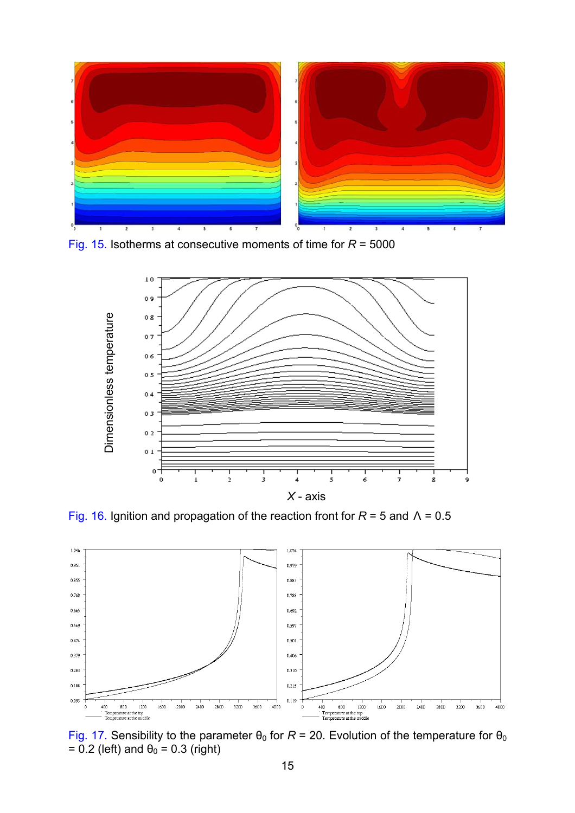![](_page_14_Figure_0.jpeg)

Fig. 15. Isotherms at consecutive moments of time for *R* = 5000

![](_page_14_Figure_2.jpeg)

Fig. 16. Ignition and propagation of the reaction front for *R* = 5 and Λ = 0.5

![](_page_14_Figure_4.jpeg)

Fig. 17. Sensibility to the parameter  $\theta_0$  for  $R = 20$ . Evolution of the temperature for  $\theta_0$ =  $0.2$  (left) and  $\theta_0 = 0.3$  (right)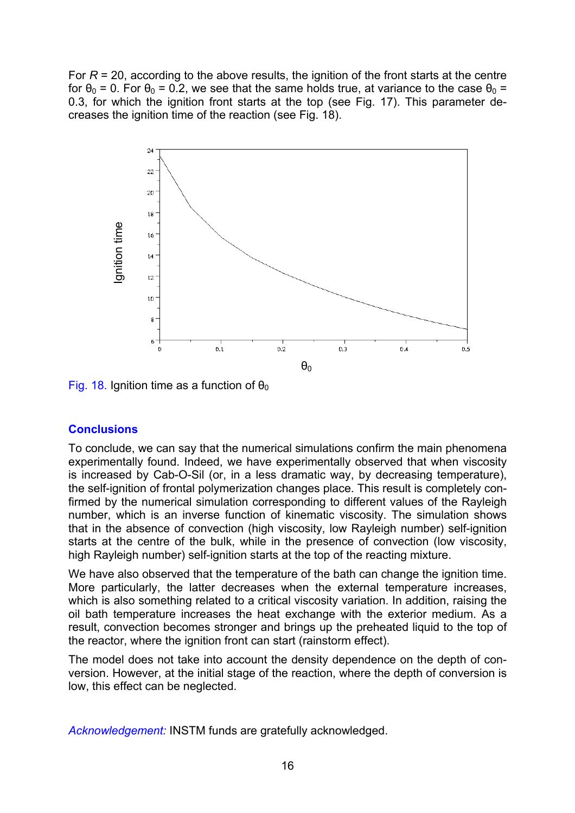For  $R = 20$ , according to the above results, the ignition of the front starts at the centre for  $\theta_0 = 0$ . For  $\theta_0 = 0.2$ , we see that the same holds true, at variance to the case  $\theta_0 =$ 0.3, for which the ignition front starts at the top (see Fig. 17). This parameter decreases the ignition time of the reaction (see Fig. 18).

![](_page_15_Figure_1.jpeg)

Fig. 18. Ignition time as a function of  $\theta_0$ 

## **Conclusions**

To conclude, we can say that the numerical simulations confirm the main phenomena experimentally found. Indeed, we have experimentally observed that when viscosity is increased by Cab-O-Sil (or, in a less dramatic way, by decreasing temperature), the self-ignition of frontal polymerization changes place. This result is completely confirmed by the numerical simulation corresponding to different values of the Rayleigh number, which is an inverse function of kinematic viscosity. The simulation shows that in the absence of convection (high viscosity, low Rayleigh number) self-ignition starts at the centre of the bulk, while in the presence of convection (low viscosity, high Rayleigh number) self-ignition starts at the top of the reacting mixture.

We have also observed that the temperature of the bath can change the ignition time. More particularly, the latter decreases when the external temperature increases, which is also something related to a critical viscosity variation. In addition, raising the oil bath temperature increases the heat exchange with the exterior medium. As a result, convection becomes stronger and brings up the preheated liquid to the top of the reactor, where the ignition front can start (rainstorm effect).

The model does not take into account the density dependence on the depth of conversion. However, at the initial stage of the reaction, where the depth of conversion is low, this effect can be neglected.

*Acknowledgement:* INSTM funds are gratefully acknowledged.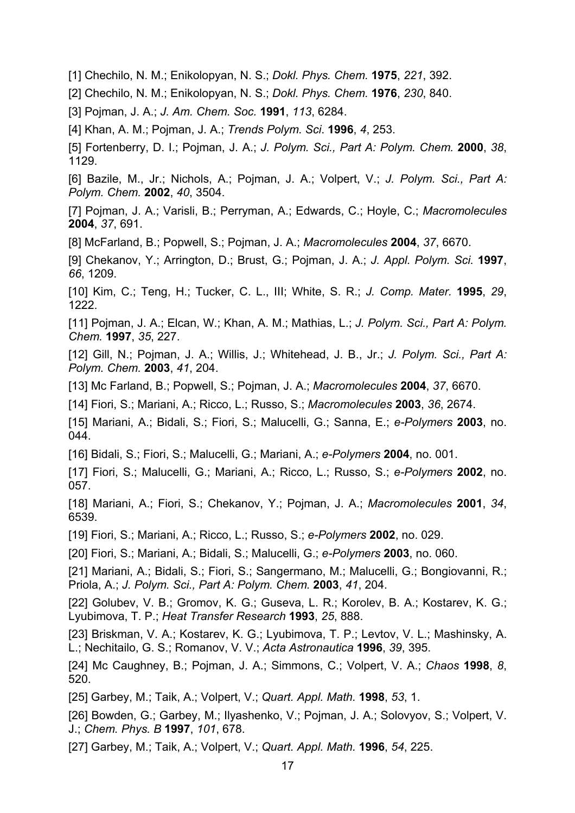[1] Chechilo, N. M.; Enikolopyan, N. S.; *Dokl. Phys. Chem.* **1975**, *221*, 392.

[2] Chechilo, N. M.; Enikolopyan, N. S.; *Dokl. Phys. Chem.* **1976**, *230*, 840.

[3] Pojman, J. A.; *J. Am. Chem. Soc.* **1991**, *113*, 6284.

[4] Khan, A. M.; Pojman, J. A.; *Trends Polym. Sci*. **1996**, *4*, 253.

[5] Fortenberry, D. I.; Pojman, J. A.; *J. Polym. Sci., Part A: Polym. Chem.* **2000**, *38*, 1129.

[6] Bazile, M., Jr.; Nichols, A.; Pojman, J. A.; Volpert, V.; *J. Polym. Sci., Part A: Polym. Chem.* **2002**, *40*, 3504.

[7] Pojman, J. A.; Varisli, B.; Perryman, A.; Edwards, C.; Hoyle, C.; *Macromolecules* **2004**, *37*, 691.

[8] McFarland, B.; Popwell, S.; Pojman, J. A.; *Macromolecules* **2004**, *37*, 6670.

[9] Chekanov, Y.; Arrington, D.; Brust, G.; Pojman, J. A.; *J. Appl. Polym. Sci.* **1997**, *66*, 1209.

[10] Kim, C.; Teng, H.; Tucker, C. L., III; White, S. R.; *J. Comp. Mater.* **1995**, *29*, 1222.

[11] Pojman, J. A.; Elcan, W.; Khan, A. M.; Mathias, L.; *J. Polym. Sci., Part A: Polym. Chem.* **1997**, *35*, 227.

[12] Gill, N.; Pojman, J. A.; Willis, J.; Whitehead, J. B., Jr.; *J. Polym. Sci., Part A: Polym. Chem.* **2003**, *41*, 204.

[13] Mc Farland, B.; Popwell, S.; Pojman, J. A.; *Macromolecules* **2004**, *37*, 6670.

[14] Fiori, S.; Mariani, A.; Ricco, L.; Russo, S.; *Macromolecules* **2003**, *36*, 2674.

[15] Mariani, A.; Bidali, S.; Fiori, S.; Malucelli, G.; Sanna, E.; *e-Polymers* **2003**, no. 044.

[16] Bidali, S.; Fiori, S.; Malucelli, G.; Mariani, A.; *e-Polymers* **2004**, no. 001.

[17] Fiori, S.; Malucelli, G.; Mariani, A.; Ricco, L.; Russo, S.; *e-Polymers* **2002**, no. 057.

[18] Mariani, A.; Fiori, S.; Chekanov, Y.; Pojman, J. A.; *Macromolecules* **2001**, *34*, 6539.

[19] Fiori, S.; Mariani, A.; Ricco, L.; Russo, S.; *e-Polymers* **2002**, no. 029.

[20] Fiori, S.; Mariani, A.; Bidali, S.; Malucelli, G.; *e-Polymers* **2003**, no. 060.

[21] Mariani, A.; Bidali, S.; Fiori, S.; Sangermano, M.; Malucelli, G.; Bongiovanni, R.; Priola, A.; *J. Polym. Sci., Part A: Polym. Chem.* **2003**, *41*, 204.

[22] Golubev, V. B.; Gromov, K. G.; Guseva, L. R.; Korolev, B. A.; Kostarev, K. G.; Lyubimova, T. P.; *Heat Transfer Research* **1993**, *25*, 888.

[23] Briskman, V. A.; Kostarev, K. G.; Lyubimova, T. P.; Levtov, V. L.; Mashinsky, A. L.; Nechitailo, G. S.; Romanov, V. V.; *Acta Astronautica* **1996**, *39*, 395.

[24] Mc Caughney, B.; Pojman, J. A.; Simmons, C.; Volpert, V. A.; *Chaos* **1998**, *8*, 520.

[25] Garbey, M.; Taik, A.; Volpert, V.; *Quart. Appl. Math.* **1998**, *53*, 1.

[26] Bowden, G.; Garbey, M.; Ilyashenko, V.; Pojman, J. A.; Solovyov, S.; Volpert, V. J.; *Chem. Phys. B* **1997**, *101*, 678.

[27] Garbey, M.; Taik, A.; Volpert, V.; *Quart. Appl. Math.* **1996**, *54*, 225.